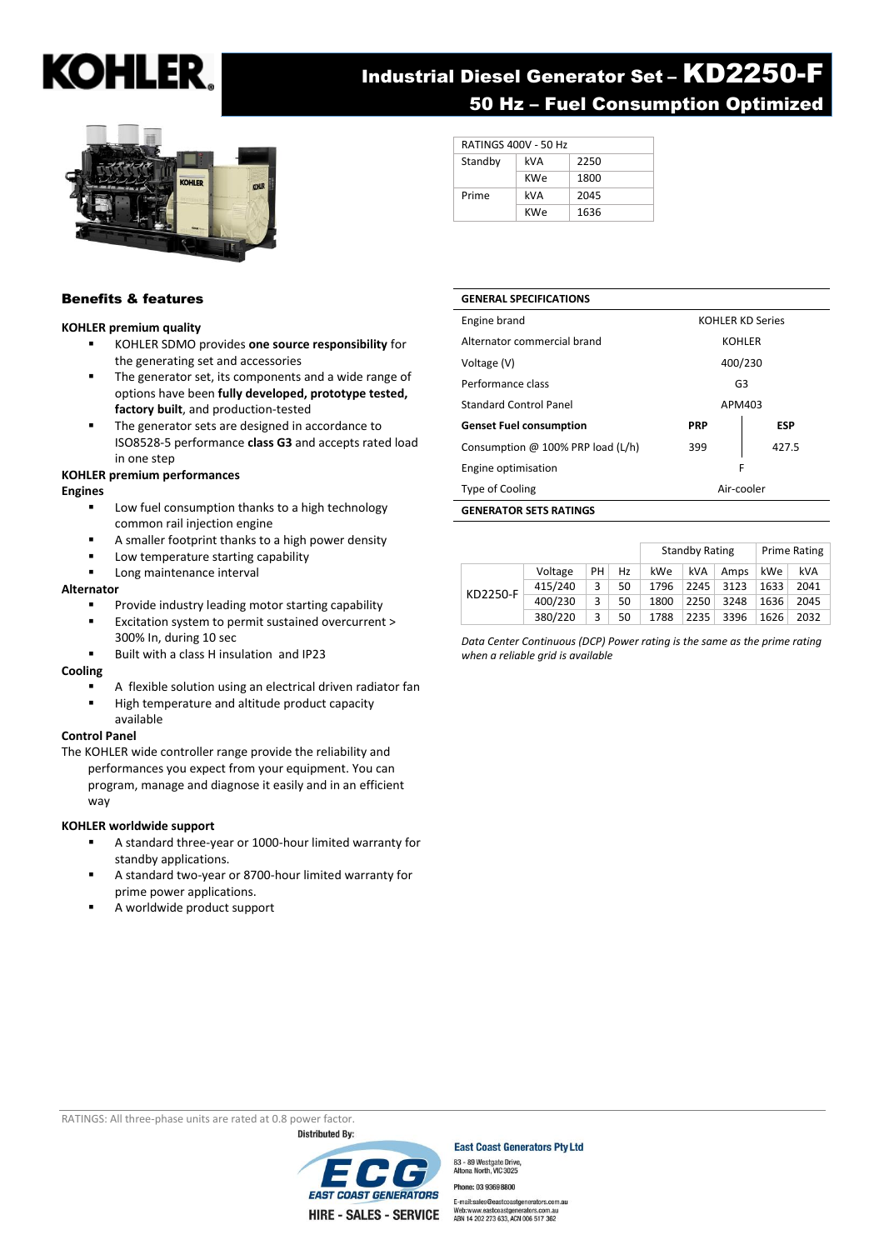# **KOHLER**

# Industrial Diesel Generator Set – KD2250-F 50 Hz – Fuel Consumption Optimized



#### RATINGS 400V - 50 Hz Standby kVA 2250 KWe | 1800 Prime kVA 2045 KWe 1636

### Benefits & features

#### **KOHLER premium quality**

- KOHLER SDMO provides **one source responsibility** for the generating set and accessories
- The generator set, its components and a wide range of options have been **fully developed, prototype tested, factory built**, and production-tested
- The generator sets are designed in accordance to ISO8528-5 performance **class G3** and accepts rated load in one step

#### **KOHLER premium performances**

#### **Engines**

- Low fuel consumption thanks to a high technology common rail injection engine
- A smaller footprint thanks to a high power density
- Low temperature starting capability
- Long maintenance interval

#### **Alternator**

- Provide industry leading motor starting capability
- Excitation system to permit sustained overcurrent > 300% In, during 10 sec
- Built with a class H insulation and IP23

#### **Cooling**

- A flexible solution using an electrical driven radiator fan
- High temperature and altitude product capacity available

#### **Control Panel**

The KOHLER wide controller range provide the reliability and performances you expect from your equipment. You can

program, manage and diagnose it easily and in an efficient way

#### **KOHLER worldwide support**

- A standard three-year or 1000-hour limited warranty for standby applications.
- A standard two-year or 8700-hour limited warranty for prime power applications.
- A worldwide product support

#### **GENERAL SPECIFICATIONS**

| <b>GENERATOR SETS RATINGS</b>     |                         |            |
|-----------------------------------|-------------------------|------------|
| Type of Cooling                   | Air-cooler              |            |
| Engine optimisation               | F                       |            |
| Consumption @ 100% PRP load (L/h) | 399                     | 427.5      |
| <b>Genset Fuel consumption</b>    | <b>PRP</b>              | <b>ESP</b> |
| Standard Control Panel            | APM403                  |            |
| Performance class                 | G3                      |            |
| Voltage (V)                       | 400/230                 |            |
| Alternator commercial brand       | <b>KOHLER</b>           |            |
| Engine brand                      | <b>KOHLER KD Series</b> |            |
|                                   |                         |            |

|          |         |    |    | <b>Standby Rating</b> |      | <b>Prime Rating</b> |      |      |
|----------|---------|----|----|-----------------------|------|---------------------|------|------|
|          | Voltage | PH | Hz | kWe                   | kVA  | Amps                | kWe  | kVA  |
| KD2250-F | 415/240 | 3  | 50 | 1796                  | 2245 | 3123                | 1633 | 2041 |
|          | 400/230 | 3  | 50 | 1800                  | 2250 | 3248                | 1636 | 2045 |
|          | 380/220 | 3  | 50 | 1788                  | 2235 | 3396                | 1626 | 2032 |

*Data Center Continuous (DCP) Power rating is the same as the prime rating when a reliable grid is available*

RATINGS: All three-phase units are rated at 0.8 power factor.<br>Distributed By:



**East Coast Generators Pty Ltd** 83 - 89 Westgate Drive,<br>Altona North, VIC 3025 Phone: 03 93698800

E-mail:sales@eastcoastge tors.com.au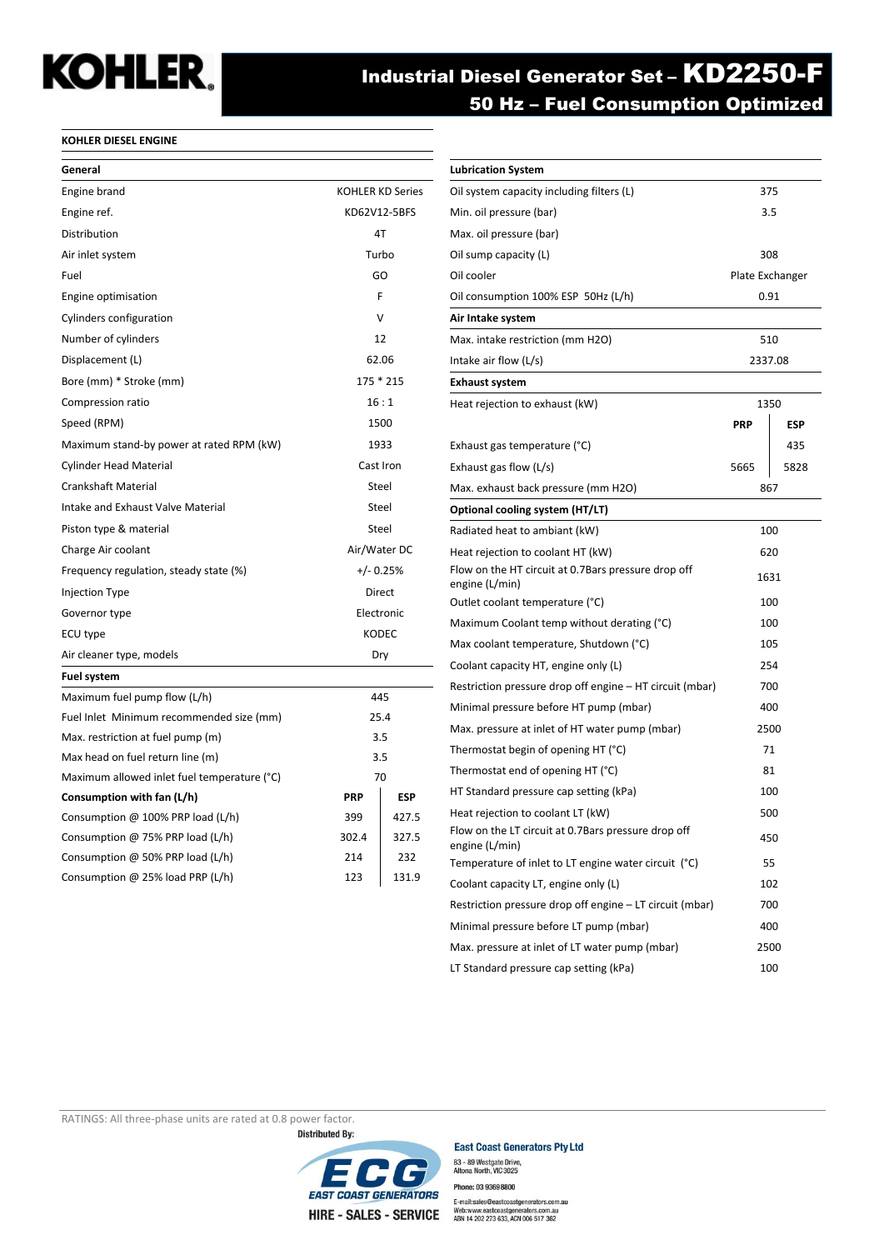# **KOHLER.**

# Industrial Diesel Generator Set – KD2250-F 50 Hz – Fuel Consumption Optimized

#### **KOHLER DIESEL ENGINE**

| General                                     |                         |              |  |
|---------------------------------------------|-------------------------|--------------|--|
| Engine brand                                | <b>KOHLER KD Series</b> |              |  |
| Engine ref.                                 |                         | KD62V12-5BFS |  |
| Distribution                                | 4T                      |              |  |
| Air inlet system                            | Turbo                   |              |  |
| Fuel                                        |                         | GO           |  |
| Engine optimisation                         | F                       |              |  |
| Cylinders configuration                     |                         | v            |  |
| Number of cylinders                         | 12                      |              |  |
| Displacement (L)                            |                         | 62.06        |  |
| Bore (mm) * Stroke (mm)                     |                         | 175 * 215    |  |
| Compression ratio                           |                         | 16:1         |  |
| Speed (RPM)                                 |                         | 1500         |  |
| Maximum stand-by power at rated RPM (kW)    |                         | 1933         |  |
| <b>Cylinder Head Material</b>               |                         | Cast Iron    |  |
| <b>Crankshaft Material</b>                  |                         | Steel        |  |
| Intake and Exhaust Valve Material           |                         | Steel        |  |
| Piston type & material                      |                         | Steel        |  |
| Charge Air coolant                          |                         | Air/Water DC |  |
| Frequency regulation, steady state (%)      |                         | $+/- 0.25%$  |  |
| <b>Injection Type</b>                       |                         | Direct       |  |
| Governor type                               |                         | Electronic   |  |
| ECU type                                    |                         | <b>KODEC</b> |  |
| Air cleaner type, models                    |                         | Dry          |  |
| <b>Fuel system</b>                          |                         |              |  |
| Maximum fuel pump flow (L/h)                | 445                     |              |  |
| Fuel Inlet Minimum recommended size (mm)    |                         | 25.4         |  |
| Max. restriction at fuel pump (m)           | 3.5                     |              |  |
| Max head on fuel return line (m)            | 3.5                     |              |  |
| Maximum allowed inlet fuel temperature (°C) |                         | 70           |  |
| Consumption with fan (L/h)                  | <b>PRP</b>              | <b>ESP</b>   |  |
| Consumption $@$ 100% PRP load (L/h)         | 399                     | 427.5        |  |
| Consumption @ 75% PRP load (L/h)            | 302.4                   | 327.5        |  |
| Consumption @ 50% PRP load (L/h)            | 214                     | 232          |  |
| Consumption @ 25% load PRP (L/h)            | 123                     | 131.9        |  |

| <b>Lubrication System</b>                                             |                 |            |
|-----------------------------------------------------------------------|-----------------|------------|
| Oil system capacity including filters (L)                             | 375             |            |
| Min. oil pressure (bar)                                               | 3.5             |            |
| Max. oil pressure (bar)                                               |                 |            |
| Oil sump capacity (L)                                                 | 308             |            |
| Oil cooler                                                            | Plate Exchanger |            |
| Oil consumption 100% ESP 50Hz (L/h)                                   | 0.91            |            |
| Air Intake system                                                     |                 |            |
| Max. intake restriction (mm H2O)                                      | 510             |            |
| Intake air flow (L/s)                                                 | 2337.08         |            |
| <b>Exhaust system</b>                                                 |                 |            |
| Heat rejection to exhaust (kW)                                        | 1350            |            |
|                                                                       | <b>PRP</b>      | <b>ESP</b> |
| Exhaust gas temperature (°C)                                          |                 | 435        |
| Exhaust gas flow (L/s)                                                | 5665            | 5828       |
| Max. exhaust back pressure (mm H2O)                                   | 867             |            |
| Optional cooling system (HT/LT)                                       |                 |            |
| Radiated heat to ambiant (kW)                                         | 100             |            |
| Heat rejection to coolant HT (kW)                                     | 620             |            |
| Flow on the HT circuit at 0.7Bars pressure drop off<br>engine (L/min) | 1631            |            |
| Outlet coolant temperature (°C)                                       | 100             |            |
| Maximum Coolant temp without derating (°C)                            | 100             |            |
| Max coolant temperature, Shutdown (°C)                                | 105             |            |
| Coolant capacity HT, engine only (L)                                  | 254             |            |
| Restriction pressure drop off engine – HT circuit (mbar)              | 700             |            |
| Minimal pressure before HT pump (mbar)<br>400                         |                 |            |
| Max. pressure at inlet of HT water pump (mbar)                        | 2500            |            |
| Thermostat begin of opening HT (°C)                                   | 71              |            |
| Thermostat end of opening HT (°C)                                     |                 | 81         |
| HT Standard pressure cap setting (kPa)                                | 100             |            |
| Heat rejection to coolant LT (kW)<br>500                              |                 |            |
| Flow on the LT circuit at 0.7Bars pressure drop off<br>engine (L/min) | 450             |            |
| Temperature of inlet to LT engine water circuit (°C)                  | 55              |            |
| Coolant capacity LT, engine only (L)                                  |                 | 102        |
| Restriction pressure drop off engine - LT circuit (mbar)              | 700             |            |
| Minimal pressure before LT pump (mbar)                                | 400             |            |
| Max. pressure at inlet of LT water pump (mbar)                        | 2500            |            |
| LT Standard pressure cap setting (kPa)                                |                 | 100        |

RATINGS: All three-phase units are rated at 0.8 power factor.<br>Distributed By:



**East Coast Generators Pty Ltd** 83 - 89 Westgate Drive,<br>Altona North, VIC 3025 Phone: 03 93698800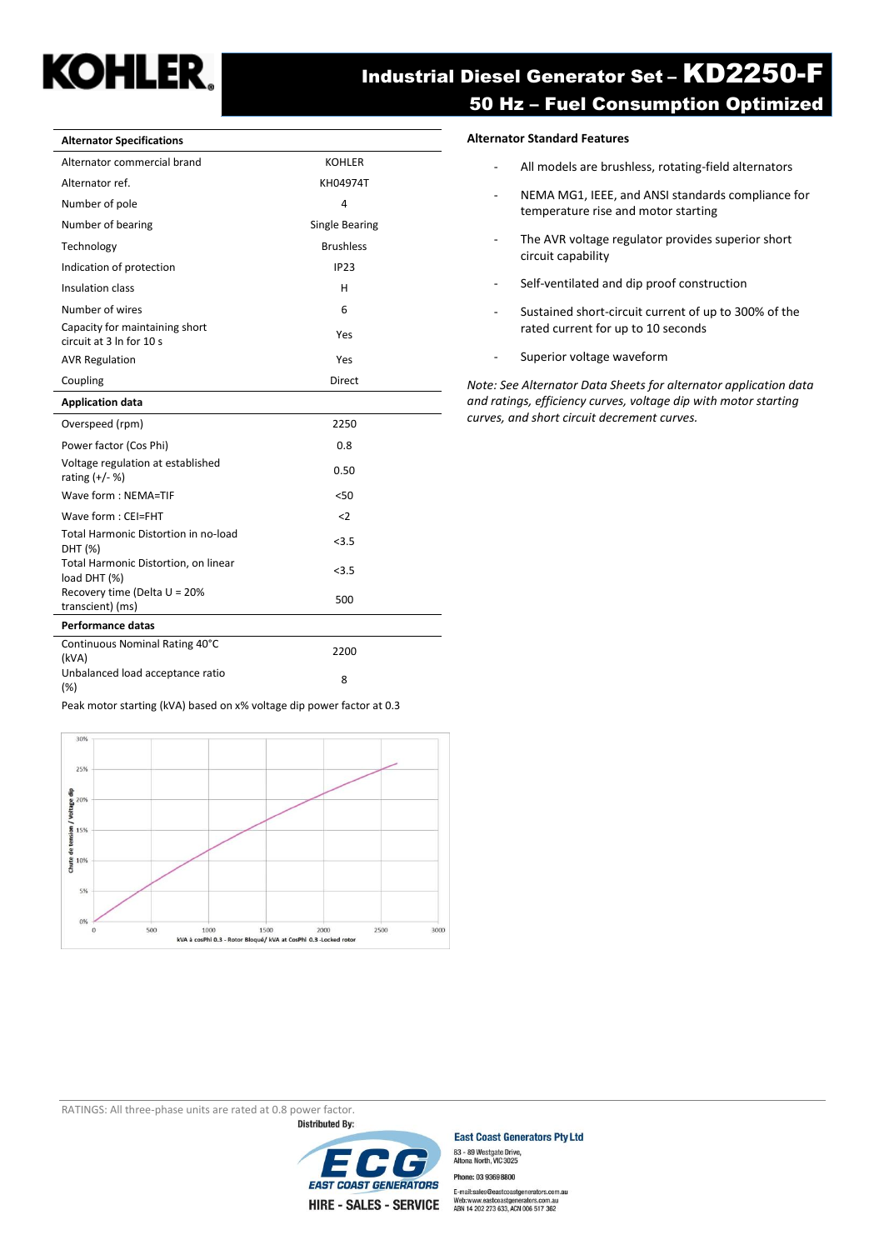

# Industrial Diesel Generator Set – KD2250-F 50 Hz – Fuel Consumption Optimized

| Alternator commercial brand                                | <b>KOHLER</b>    |
|------------------------------------------------------------|------------------|
| Alternator ref.                                            | KH04974T         |
| Number of pole                                             | 4                |
| Number of bearing                                          | Single Bearing   |
| Technology                                                 | <b>Brushless</b> |
| Indication of protection                                   | <b>IP23</b>      |
| Insulation class                                           | н                |
| Number of wires                                            | 6                |
| Capacity for maintaining short<br>circuit at 3 In for 10 s | Yes              |
| <b>AVR Regulation</b>                                      | Yes              |
| Coupling                                                   | <b>Direct</b>    |
| <b>Application data</b>                                    |                  |
| Overspeed (rpm)                                            | 2250             |
| Power factor (Cos Phi)                                     | 0.8              |
| Voltage regulation at established<br>rating $(+/- %)$      | 0.50             |
| Wave form: NEMA=TIF                                        | 50<              |
| Wave form: CEI=FHT                                         | $\langle$ 2      |
| Total Harmonic Distortion in no-load<br>DHT (%)            | < 3.5            |
| Total Harmonic Distortion, on linear<br>load DHT (%)       | < 3.5            |
| Recovery time (Delta U = 20%<br>transcient) (ms)           | 500              |
| Performance datas                                          |                  |
| Continuous Nominal Rating 40°C<br>(kVA)                    | 2200             |
| Unbalanced load acceptance ratio<br>(%)                    | 8                |

Peak motor starting (kVA) based on x% voltage dip power factor at 0.3



#### **Alternator Specifications Alternator Standard Features**

- All models are brushless, rotating-field alternators
- NEMA MG1, IEEE, and ANSI standards compliance for temperature rise and motor starting
- The AVR voltage regulator provides superior short circuit capability
- Self-ventilated and dip proof construction
- Sustained short-circuit current of up to 300% of the rated current for up to 10 seconds
- Superior voltage waveform

*Note: See Alternator Data Sheets for alternator application data and ratings, efficiency curves, voltage dip with motor starting curves, and short circuit decrement curves.*

RATINGS: All three-phase units are rated at 0.8 power factor.



**East Coast Generators Pty Ltd** 83 - 89 Westgate Drive,<br>Altona North, VIC 3025 Phone: 03 93698800

E-mail:sales@eastcoastgenerators.com.au<br>Web:www.eastcoastgenerators.com.au<br>ABN 14 202 273 633, ACN 006 517 362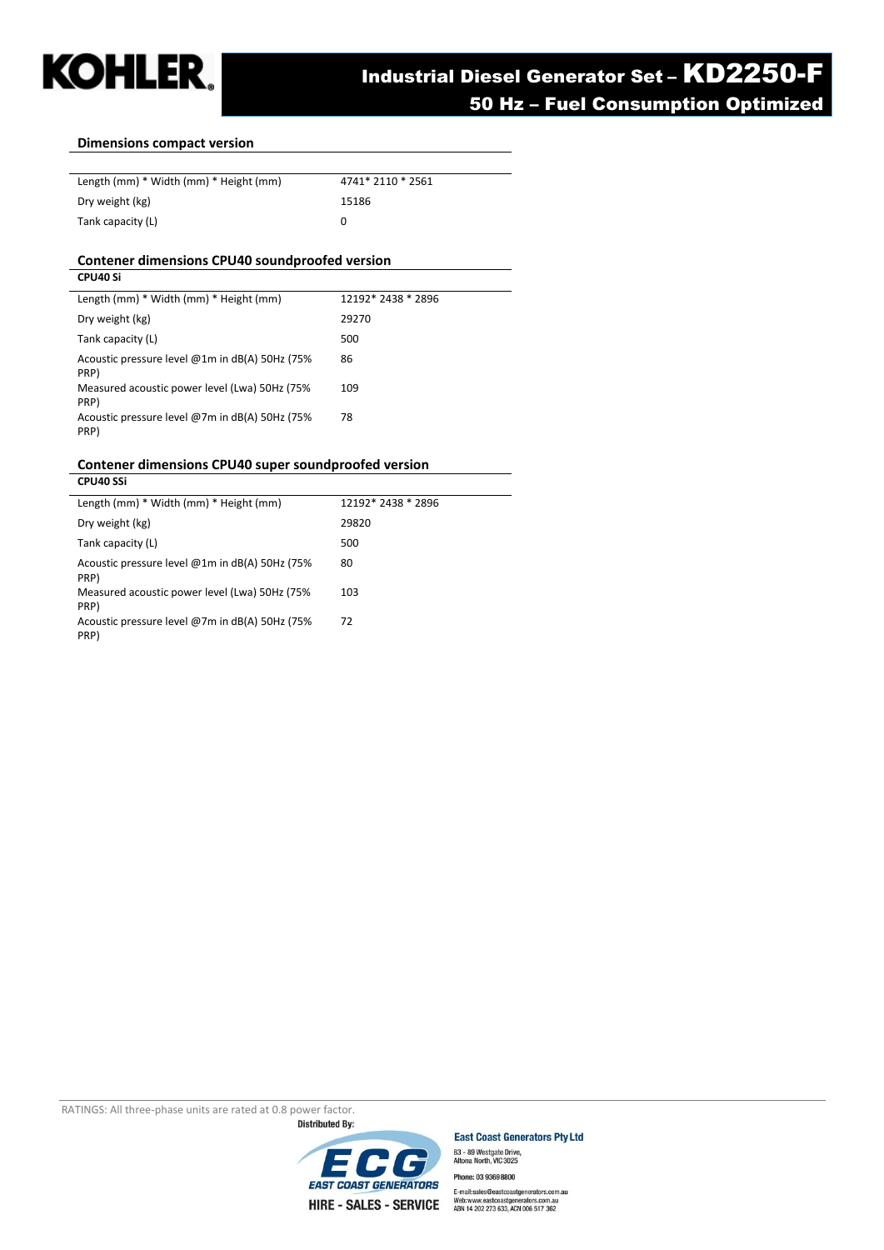

#### **Dimensions compact version**

| Length (mm) * Width (mm) * Height (mm) | 4741* 2110 * 2561 |
|----------------------------------------|-------------------|
| Dry weight (kg)                        | 15186             |
| Tank capacity (L)                      | $\mathbf{0}$      |

#### **Contener dimensions CPU40 soundproofed version**

| CPU40 Si                                                  |                    |
|-----------------------------------------------------------|--------------------|
| Length (mm) * Width (mm) * Height (mm)                    | 12192* 2438 * 2896 |
| Dry weight (kg)                                           | 29270              |
| Tank capacity (L)                                         | 500                |
| Acoustic pressure level @1m in $dB(A)$ 50Hz (75%)<br>PRP) | 86                 |
| Measured acoustic power level (Lwa) 50Hz (75%<br>PRP)     | 109                |
| Acoustic pressure level @7m in dB(A) 50Hz (75%<br>PRP)    | 78                 |

#### **Contener dimensions CPU40 super soundproofed version CPU40 SSi**

| Length (mm) * Width (mm) * Height (mm)                 | 12192* 2438 * 2896 |
|--------------------------------------------------------|--------------------|
| Dry weight (kg)                                        | 29820              |
| Tank capacity (L)                                      | 500                |
| Acoustic pressure level @1m in dB(A) 50Hz (75%<br>PRP) | 80                 |
| Measured acoustic power level (Lwa) 50Hz (75%<br>PRP)  | 103                |
| Acoustic pressure level @7m in dB(A) 50Hz (75%<br>PRP) | 72                 |
|                                                        |                    |

RATINGS: All three-phase units are rated at 0.8 power factor.<br>**Distributed By:** 





Phone: 03 93698800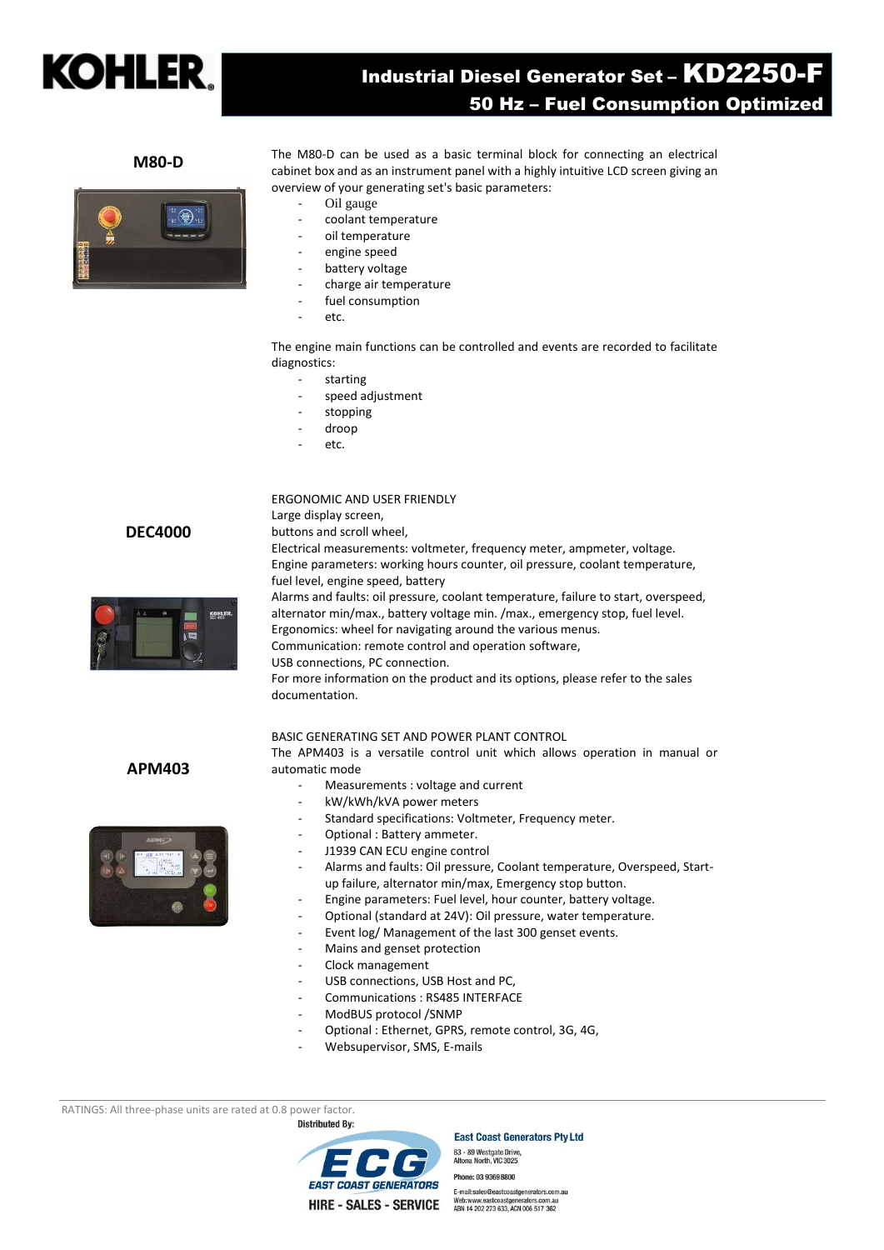

# Industrial Diesel Generator Set – KD2250-F 50 Hz – Fuel Consumption Optimized

#### **M80-D**

The M80-D can be used as a basic terminal block for connecting an electrical cabinet box and as an instrument panel with a highly intuitive LCD screen giving an overview of your generating set's basic parameters:

- Oil gauge
- coolant temperature
- oil temperature
- engine speed
- battery voltage
- charge air temperature
- fuel consumption
- etc.

The engine main functions can be controlled and events are recorded to facilitate diagnostics:

- starting
- speed adjustment
- stopping
- droop

Large display screen,

etc.

#### ERGONOMIC AND USER FRIENDLY

**DEC4000**



buttons and scroll wheel, Electrical measurements: voltmeter, frequency meter, ampmeter, voltage. Engine parameters: working hours counter, oil pressure, coolant temperature, fuel level, engine speed, battery Alarms and faults: oil pressure, coolant temperature, failure to start, overspeed, alternator min/max., battery voltage min. /max., emergency stop, fuel level. Ergonomics: wheel for navigating around the various menus.

Communication: remote control and operation software,

USB connections, PC connection.

For more information on the product and its options, please refer to the sales documentation.

#### BASIC GENERATING SET AND POWER PLANT CONTROL

The APM403 is a versatile control unit which allows operation in manual or automatic mode

- Measurements : voltage and current
- kW/kWh/kVA power meters
- Standard specifications: Voltmeter, Frequency meter.
- Optional : Battery ammeter.
- J1939 CAN ECU engine control
- Alarms and faults: Oil pressure, Coolant temperature, Overspeed, Startup failure, alternator min/max, Emergency stop button.
- Engine parameters: Fuel level, hour counter, battery voltage.
- Optional (standard at 24V): Oil pressure, water temperature.
- Event log/ Management of the last 300 genset events.
- Mains and genset protection
- Clock management
- USB connections, USB Host and PC,
- Communications : RS485 INTERFACE
- ModBUS protocol /SNMP
- Optional : Ethernet, GPRS, remote control, 3G, 4G,
- Websupervisor, SMS, E-mails

RATINGS: All three-phase units are rated at 0.8 power factor.

*EAST COAST GENERATORS* **HIRE - SALES - SERVICE** 

**Distributed By:** 



83 - 89 Westgate Drive,<br>Altona North, VIC 3025 Phone: 03 93698800 E-mail:sales@eastcoastge ators.com.au Web:www.eastcoastgenerators.com.au<br>ABN 14 202 273 633, ACN 006 517 362



**APM403**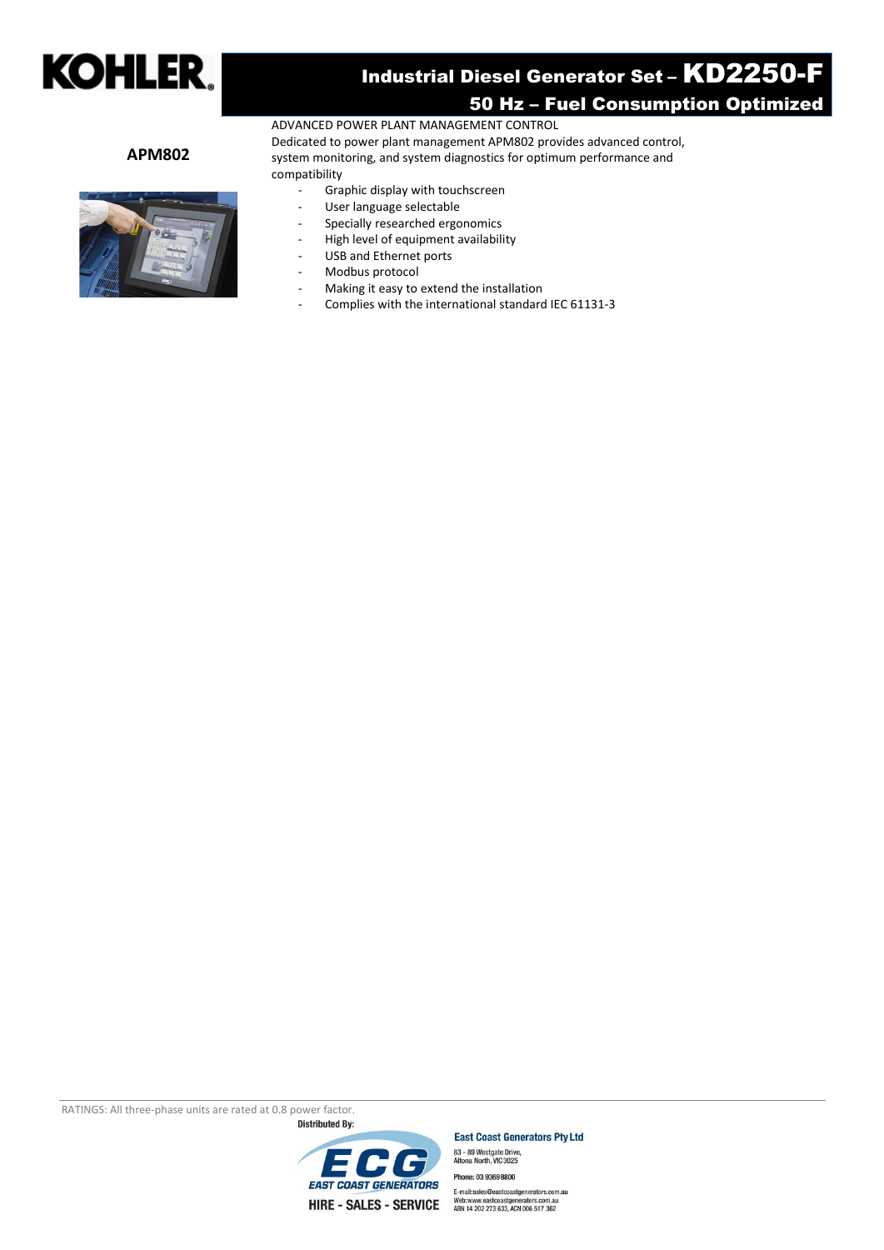

# Industrial Diesel Generator Set – KD2250-F 50 Hz – Fuel Consumption Optimized

#### **APM802**



compatibility Graphic display with touchscreen

ADVANCED POWER PLANT MANAGEMENT CONTROL

- User language selectable
- Specially researched ergonomics
- High level of equipment availability
- USB and Ethernet ports
- Modbus protocol
- Making it easy to extend the installation
- Complies with the international standard IEC 61131-3

Dedicated to power plant management APM802 provides advanced control, system monitoring, and system diagnostics for optimum performance and

RATINGS: All three-phase units are rated at 0.8 power factor.



**East Coast Generators Pty Ltd** 

83 - 89 Westgate Drive,<br>Altona North, VIC 3025 Phone: 03 93698800 E-mail:sales@eastcoastgenerators.com.au<br>Web:www.eastcoastgenerators.com.au<br>ABN 14 202 273 633, ACN 006 517 362